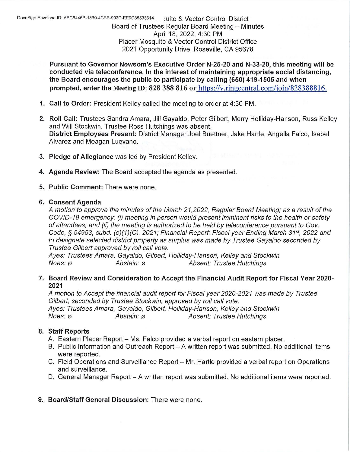**Pursuant to Governor Newsom's Executive Order N-25-20 and N-33-20, this meeting will be conducted via teleconference. In the interest of maintaining appropriate social distancing, the Board encourages the public to participate by calling (650) 419-1505 and when prompted, enter the Meeting ID: 828 388 816 or** https://v.ringcentral.com/join/828388816.

- **1. Call to Order:** President Kelley called the meeting to order at 4:30 PM.
- **2. Roll Call:** Trustees Sandra Amara, Jill Gayaldo, Peter Gilbert, Merry Holliday-Hanson, Russ Kelley and Will Stockwin. Trustee Ross Hutchings was absent. **District Employees Present:** District Manager Joel Buettner, Jake Hartle, Angella Falco, Isabel Alvarez and Meagan Luevano.
- **3. Pledge of Allegiance** was led by President Kelley.
- **4. Agenda Review:** The Board accepted the agenda as presented.
- **5. Public Comment:** There were none.

#### **6. Consent Agenda**

A motion to approve the minutes of the March 21,2022, Regular Board Meeting; as a result of the COVID-19 emergency: (i) meeting in person would present imminent risks to the health or safety of attendees; and (ii) the meeting is authorized to be held by teleconference pursuant to Gov. Code, *§* 54953, subd. (e)(1)(C). 2021; Financial Report: Fiscal year Ending March 31*st ,* 2022 and to designate selected district property as surplus was made by Trustee Gayaldo seconded by Trustee Gilbert approved by roll call vote.

Ayes: Trustees Amara, Gayaldo, Gilbert, Holliday-Hanson, Kelley and Stockwin Noes: ø den abstain: ø den absent: Trustee Hutchings

#### **7. Board Review and Consideration to Accept the Financial Audit Report for Fiscal Year 2020- 2021**

A motion to Accept the financial audit report for Fiscal year 2020-2021 was made by Trustee Gilbert, seconded by Trustee Stockwin, approved by roll call vote. Ayes: Trustees Amara, Gayaldo, Gilbert, Holliday-Hanson, Kelley and Stockwin Noes: ø **Abstain: ø Magnus** Absent: Trustee Hutchings

### **8. Staff Reports**

- A. Eastern Placer Report Ms. Falco provided a verbal report on eastern placer.
- B. Public Information and Outreach Report A written report was submitted. No additional items were reported.
- C. Field Operations and Surveillance Report- Mr. Hartle provided a verbal report on Operations and surveillance.
- D. General Manager Report A written report was submitted. No additional items were reported.
- **9. Board/Staff General Discussion:** There were none.